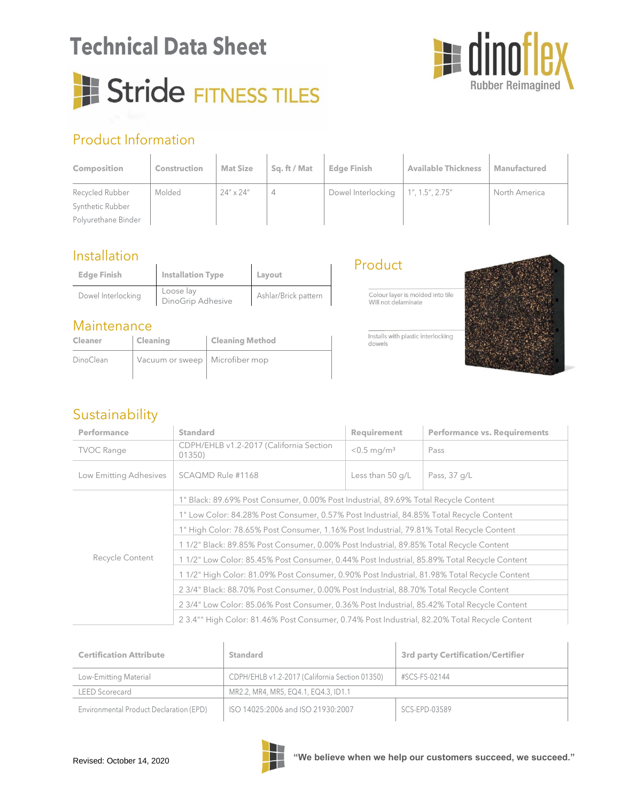### **Technical Data Sheet**

# Stride FITNESS TILES



#### Product Information

| <b>Composition</b>  | <b>Construction</b> | <b>Mat Size</b>    | Sq. ft / Mat | <b>Edge Finish</b> | <b>Available Thickness</b> | <b>Manufactured</b> |
|---------------------|---------------------|--------------------|--------------|--------------------|----------------------------|---------------------|
| Recycled Rubber     | Molded              | $24'' \times 24''$ | 4            | Dowel Interlocking | 1'', 1.5'', 2.75''         | North America       |
| Synthetic Rubber    |                     |                    |              |                    |                            |                     |
| Polyurethane Binder |                     |                    |              |                    |                            |                     |

#### Installation

| <b>Edge Finish</b> | <b>Installation Type</b>       | Layout               |
|--------------------|--------------------------------|----------------------|
| Dowel Interlocking | Loose lay<br>DinoGrip Adhesive | Ashlar/Brick pattern |

#### Maintenance

| <b>Cleaner</b> | Cleaning                         | <b>Cleaning Method</b> |
|----------------|----------------------------------|------------------------|
| DinoClean      | Vacuum or sweep   Microfiber mop |                        |

#### Product

Colour layer is molded into tile Will not delaminate

Installs with plastic interlocking dowels



#### Sustainability

| Performance            | <b>Standard</b>                                                                               | Requirement               | <b>Performance vs. Requirements</b> |  |  |
|------------------------|-----------------------------------------------------------------------------------------------|---------------------------|-------------------------------------|--|--|
| <b>TVOC Range</b>      | CDPH/EHLB v1.2-2017 (California Section<br>01350)                                             | $< 0.5$ mg/m <sup>3</sup> | Pass                                |  |  |
| Low Emitting Adhesives | SCAQMD Rule #1168                                                                             | Less than $50$ q/L        | Pass, 37 g/L                        |  |  |
|                        | 1" Black: 89.69% Post Consumer, 0.00% Post Industrial, 89.69% Total Recycle Content           |                           |                                     |  |  |
| Recycle Content        | 1" Low Color: 84.28% Post Consumer, 0.57% Post Industrial, 84.85% Total Recycle Content       |                           |                                     |  |  |
|                        | 1" High Color: 78.65% Post Consumer, 1.16% Post Industrial, 79.81% Total Recycle Content      |                           |                                     |  |  |
|                        | 1 1/2" Black: 89.85% Post Consumer, 0.00% Post Industrial, 89.85% Total Recycle Content       |                           |                                     |  |  |
|                        | 1 1/2" Low Color: 85.45% Post Consumer, 0.44% Post Industrial, 85.89% Total Recycle Content   |                           |                                     |  |  |
|                        | 1 1/2" High Color: 81.09% Post Consumer, 0.90% Post Industrial, 81.98% Total Recycle Content  |                           |                                     |  |  |
|                        | 2 3/4" Black: 88.70% Post Consumer, 0.00% Post Industrial, 88.70% Total Recycle Content       |                           |                                     |  |  |
|                        | 2 3/4" Low Color: 85.06% Post Consumer, 0.36% Post Industrial, 85.42% Total Recycle Content   |                           |                                     |  |  |
|                        | 2 3.4"" High Color: 81.46% Post Consumer, 0.74% Post Industrial, 82.20% Total Recycle Content |                           |                                     |  |  |

| <b>Certification Attribute</b>          | Standard                                       | 3rd party Certification/Certifier |  |
|-----------------------------------------|------------------------------------------------|-----------------------------------|--|
| Low-Emitting Material                   | CDPH/EHLB v1.2-2017 (California Section 01350) | #SCS-FS-02144                     |  |
| <b>LEED Scorecard</b>                   | MR2.2, MR4, MR5, EQ4.1, EQ4.3, ID1.1           |                                   |  |
| Environmental Product Declaration (EPD) | ISO 14025:2006 and ISO 21930:2007              | SCS-EPD-03589                     |  |